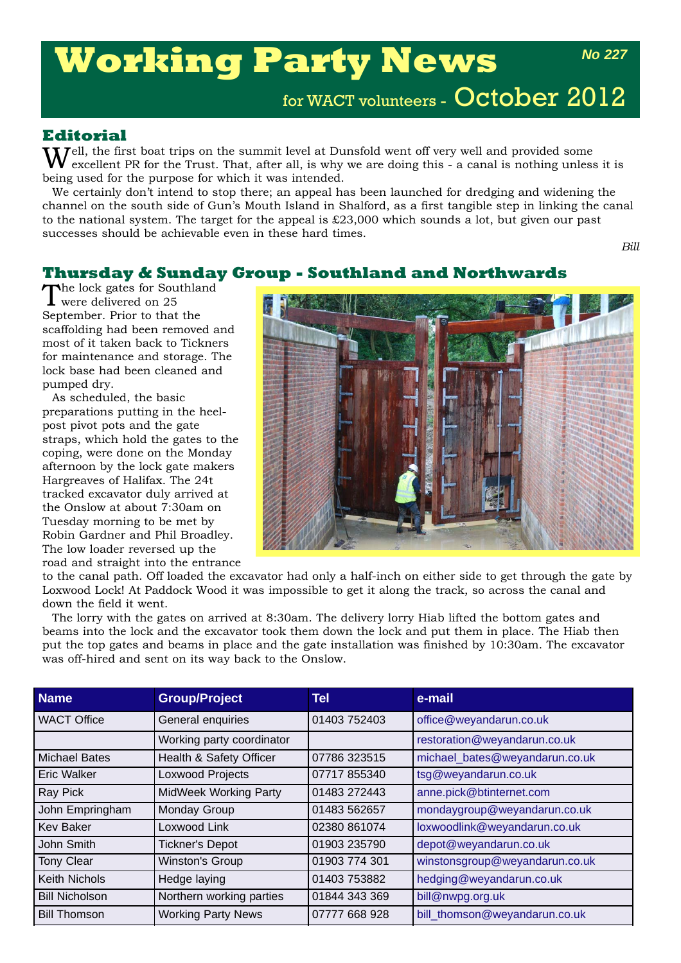# **Working Party News**

*No 227*

for WACT volunteers - October 2012

## **Editorial**

 $\Gamma$   $\Gamma$   $\Gamma$   $\Gamma$   $\Gamma$  and the summit level at Dunsfold went off very well and provided some excellent PR for the Trust. That, after all, is why we are doing this - a canal is nothing unless it is being used for the purpose for which it was intended.

We certainly don't intend to stop there; an appeal has been launched for dredging and widening the channel on the south side of Gun's Mouth Island in Shalford, as a first tangible step in linking the canal to the national system. The target for the appeal is  $\pounds 23,000$  which sounds a lot, but given our past successes should be achievable even in these hard times.

*Bill*

# **Thursday & Sunday Group - Southland and Northwards**

The lock gates for Southland<br>were delivered on 25 September. Prior to that the scaffolding had been removed and most of it taken back to Tickners for maintenance and storage. The lock base had been cleaned and pumped dry.

As scheduled, the basic preparations putting in the heelpost pivot pots and the gate straps, which hold the gates to the coping, were done on the Monday afternoon by the lock gate makers Hargreaves of Halifax. The 24t tracked excavator duly arrived at the Onslow at about 7:30am on Tuesday morning to be met by Robin Gardner and Phil Broadley. The low loader reversed up the road and straight into the entrance



to the canal path. Off loaded the excavator had only a half-inch on either side to get through the gate by Loxwood Lock! At Paddock Wood it was impossible to get it along the track, so across the canal and down the field it went.

The lorry with the gates on arrived at 8:30am. The delivery lorry Hiab lifted the bottom gates and beams into the lock and the excavator took them down the lock and put them in place. The Hiab then put the top gates and beams in place and the gate installation was finished by 10:30am. The excavator was off-hired and sent on its way back to the Onslow.

| <b>Name</b>           | <b>Group/Project</b>         | Tel           | e-mail                         |
|-----------------------|------------------------------|---------------|--------------------------------|
| <b>WACT Office</b>    | General enquiries            | 01403 752403  | office@weyandarun.co.uk        |
|                       | Working party coordinator    |               | restoration@weyandarun.co.uk   |
| <b>Michael Bates</b>  | Health & Safety Officer      | 07786 323515  | michael_bates@weyandarun.co.uk |
| <b>Eric Walker</b>    | Loxwood Projects             | 07717 855340  | tsg@weyandarun.co.uk           |
| Ray Pick              | <b>MidWeek Working Party</b> | 01483 272443  | anne.pick@btinternet.com       |
| John Empringham       | Monday Group                 | 01483 562657  | mondaygroup@weyandarun.co.uk   |
| <b>Kev Baker</b>      | Loxwood Link                 | 02380 861074  | loxwoodlink@weyandarun.co.uk   |
| John Smith            | <b>Tickner's Depot</b>       | 01903 235790  | depot@weyandarun.co.uk         |
| <b>Tony Clear</b>     | Winston's Group              | 01903 774 301 | winstonsgroup@weyandarun.co.uk |
| <b>Keith Nichols</b>  | Hedge laying                 | 01403 753882  | hedging@weyandarun.co.uk       |
| <b>Bill Nicholson</b> | Northern working parties     | 01844 343 369 | bill@nwpg.org.uk               |
| <b>Bill Thomson</b>   | <b>Working Party News</b>    | 07777 668 928 | bill thomson@weyandarun.co.uk  |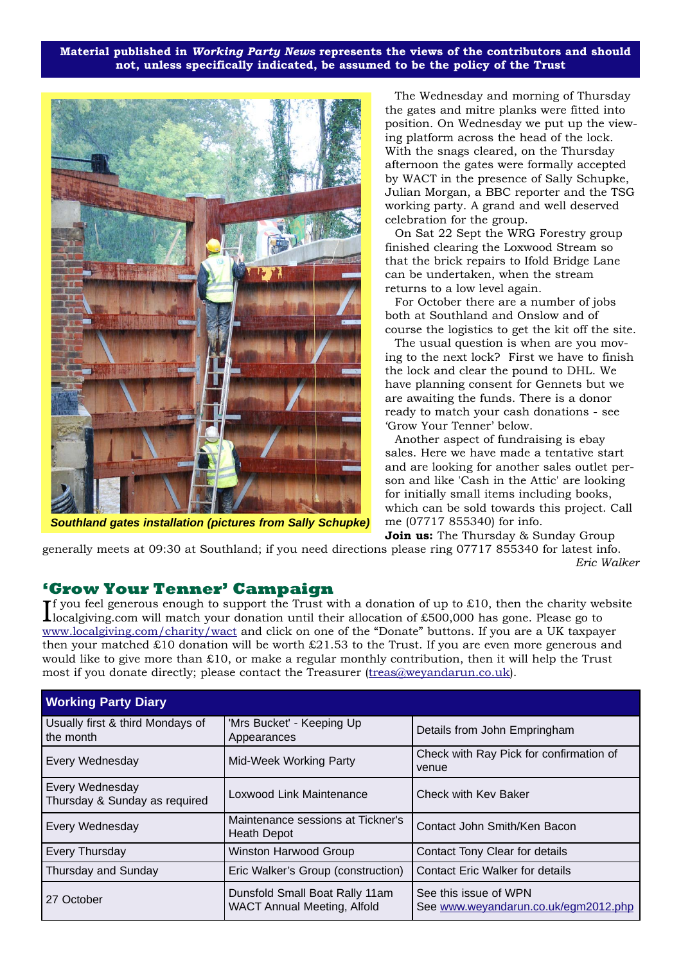**Material published in** *Working Party News* **represents the views of the contributors and should not, unless specifically indicated, be assumed to be the policy of the Trust**



*Southland gates installation (pictures from Sally Schupke)*

The Wednesday and morning of Thursday the gates and mitre planks were fitted into position. On Wednesday we put up the viewing platform across the head of the lock. With the snags cleared, on the Thursday afternoon the gates were formally accepted by WACT in the presence of Sally Schupke, Julian Morgan, a BBC reporter and the TSG working party. A grand and well deserved celebration for the group.

On Sat 22 Sept the WRG Forestry group finished clearing the Loxwood Stream so that the brick repairs to Ifold Bridge Lane can be undertaken, when the stream returns to a low level again.

For October there are a number of jobs both at Southland and Onslow and of course the logistics to get the kit off the site.

The usual question is when are you moving to the next lock? First we have to finish the lock and clear the pound to DHL. We have planning consent for Gennets but we are awaiting the funds. There is a donor ready to match your cash donations - see 'Grow Your Tenner' below.

Another aspect of fundraising is ebay sales. Here we have made a tentative start and are looking for another sales outlet person and like 'Cash in the Attic' are looking for initially small items including books, which can be sold towards this project. Call me (07717 855340) for info.

**Join us:** The Thursday & Sunday Group generally meets at 09:30 at Southland; if you need directions please ring 07717 855340 for latest info.

*Eric Walker*

#### **'Grow Your Tenner' Campaign**

If you feel generous enough to support the Trust with a donation of up to £10, then the charity we<br>localgiving.com will match your donation until their allocation of £500,000 has gone. Please go to **T** you feel generous enough to support the Trust with a donation of up to £10, then the charity website www.localgiving.com/charity/wact and click on one of the "Donate" buttons. If you are a UK taxpayer then your matched £10 donation will be worth £21.53 to the Trust. If you are even more generous and would like to give more than £10, or make a regular monthly contribution, then it will help the Trust most if you donate directly; please contact the Treasurer (treas@weyandarun.co.uk).

| <b>Working Party Diary</b>                       |                                                                      |                                                               |  |
|--------------------------------------------------|----------------------------------------------------------------------|---------------------------------------------------------------|--|
| Usually first & third Mondays of<br>the month    | 'Mrs Bucket' - Keeping Up<br>Appearances                             | Details from John Empringham                                  |  |
| Every Wednesday                                  | Mid-Week Working Party                                               | Check with Ray Pick for confirmation of<br>venue              |  |
| Every Wednesday<br>Thursday & Sunday as required | Loxwood Link Maintenance                                             | Check with Key Baker                                          |  |
| Every Wednesday                                  | Maintenance sessions at Tickner's<br>Heath Depot                     | Contact John Smith/Ken Bacon                                  |  |
| Every Thursday                                   | <b>Winston Harwood Group</b>                                         | Contact Tony Clear for details                                |  |
| Thursday and Sunday                              | Eric Walker's Group (construction)                                   | <b>Contact Eric Walker for details</b>                        |  |
| 27 October                                       | Dunsfold Small Boat Rally 11am<br><b>WACT Annual Meeting, Alfold</b> | See this issue of WPN<br>See www.weyandarun.co.uk/egm2012.php |  |